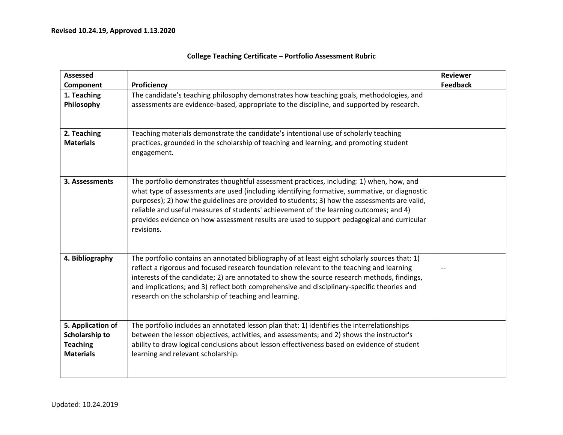| <b>Assessed</b>                                                            |                                                                                                                                                                                                                                                                                                                                                                                                                                                                                                | Reviewer        |
|----------------------------------------------------------------------------|------------------------------------------------------------------------------------------------------------------------------------------------------------------------------------------------------------------------------------------------------------------------------------------------------------------------------------------------------------------------------------------------------------------------------------------------------------------------------------------------|-----------------|
| Component                                                                  | Proficiency                                                                                                                                                                                                                                                                                                                                                                                                                                                                                    | <b>Feedback</b> |
| 1. Teaching<br>Philosophy                                                  | The candidate's teaching philosophy demonstrates how teaching goals, methodologies, and<br>assessments are evidence-based, appropriate to the discipline, and supported by research.                                                                                                                                                                                                                                                                                                           |                 |
| 2. Teaching<br><b>Materials</b>                                            | Teaching materials demonstrate the candidate's intentional use of scholarly teaching<br>practices, grounded in the scholarship of teaching and learning, and promoting student<br>engagement.                                                                                                                                                                                                                                                                                                  |                 |
| 3. Assessments                                                             | The portfolio demonstrates thoughtful assessment practices, including: 1) when, how, and<br>what type of assessments are used (including identifying formative, summative, or diagnostic<br>purposes); 2) how the guidelines are provided to students; 3) how the assessments are valid,<br>reliable and useful measures of students' achievement of the learning outcomes; and 4)<br>provides evidence on how assessment results are used to support pedagogical and curricular<br>revisions. |                 |
| 4. Bibliography                                                            | The portfolio contains an annotated bibliography of at least eight scholarly sources that: 1)<br>reflect a rigorous and focused research foundation relevant to the teaching and learning<br>interests of the candidate; 2) are annotated to show the source research methods, findings,<br>and implications; and 3) reflect both comprehensive and disciplinary-specific theories and<br>research on the scholarship of teaching and learning.                                                |                 |
| 5. Application of<br>Scholarship to<br><b>Teaching</b><br><b>Materials</b> | The portfolio includes an annotated lesson plan that: 1) identifies the interrelationships<br>between the lesson objectives, activities, and assessments; and 2) shows the instructor's<br>ability to draw logical conclusions about lesson effectiveness based on evidence of student<br>learning and relevant scholarship.                                                                                                                                                                   |                 |

## **College Teaching Certificate – Portfolio Assessment Rubric**